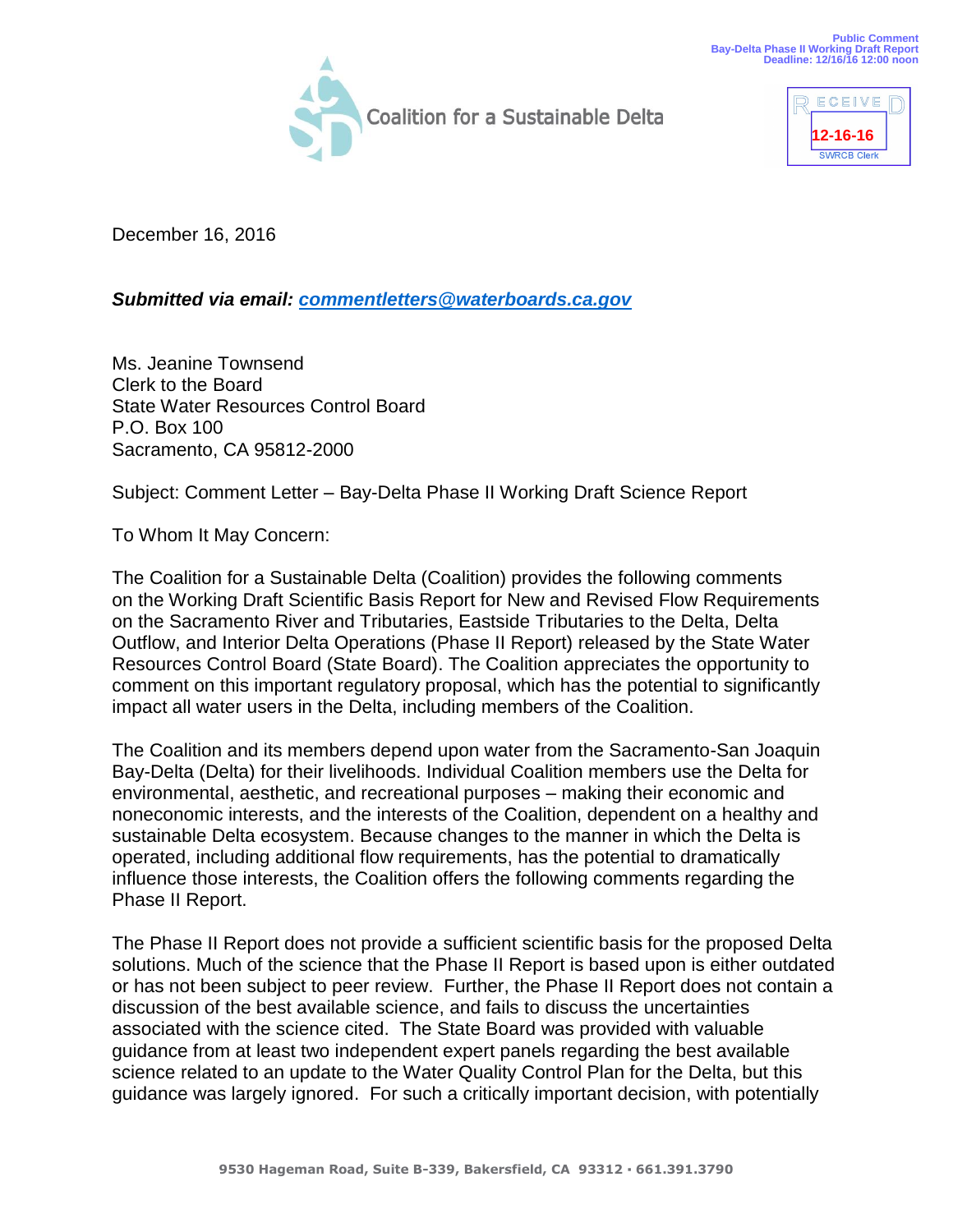



December 16, 2016

*Submitted via email: [commentletters@waterboards.ca.gov](mailto:commentletters@waterboards.ca.gov)*

Ms. Jeanine Townsend Clerk to the Board State Water Resources Control Board P.O. Box 100 Sacramento, CA 95812-2000

Subject: Comment Letter – Bay-Delta Phase II Working Draft Science Report

To Whom It May Concern:

The Coalition for a Sustainable Delta (Coalition) provides the following comments on the Working Draft Scientific Basis Report for New and Revised Flow Requirements on the Sacramento River and Tributaries, Eastside Tributaries to the Delta, Delta Outflow, and Interior Delta Operations (Phase II Report) released by the State Water Resources Control Board (State Board). The Coalition appreciates the opportunity to comment on this important regulatory proposal, which has the potential to significantly impact all water users in the Delta, including members of the Coalition.

The Coalition and its members depend upon water from the Sacramento-San Joaquin Bay-Delta (Delta) for their livelihoods. Individual Coalition members use the Delta for environmental, aesthetic, and recreational purposes – making their economic and noneconomic interests, and the interests of the Coalition, dependent on a healthy and sustainable Delta ecosystem. Because changes to the manner in which the Delta is operated, including additional flow requirements, has the potential to dramatically influence those interests, the Coalition offers the following comments regarding the Phase II Report.

The Phase II Report does not provide a sufficient scientific basis for the proposed Delta solutions. Much of the science that the Phase II Report is based upon is either outdated or has not been subject to peer review. Further, the Phase II Report does not contain a discussion of the best available science, and fails to discuss the uncertainties associated with the science cited. The State Board was provided with valuable guidance from at least two independent expert panels regarding the best available science related to an update to the Water Quality Control Plan for the Delta, but this guidance was largely ignored. For such a critically important decision, with potentially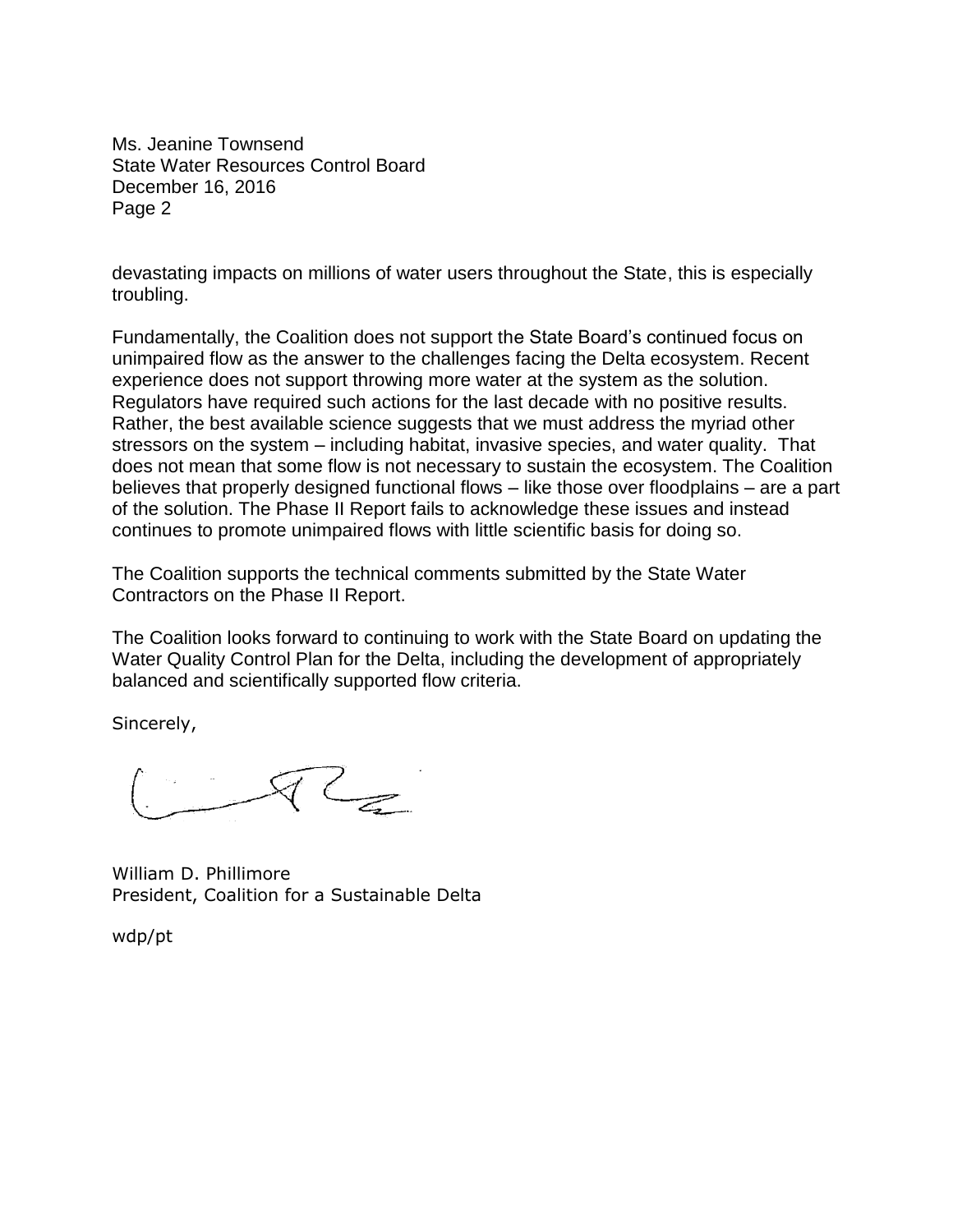Ms. Jeanine Townsend State Water Resources Control Board December 16, 2016 Page 2

devastating impacts on millions of water users throughout the State, this is especially troubling.

Fundamentally, the Coalition does not support the State Board's continued focus on unimpaired flow as the answer to the challenges facing the Delta ecosystem. Recent experience does not support throwing more water at the system as the solution. Regulators have required such actions for the last decade with no positive results. Rather, the best available science suggests that we must address the myriad other stressors on the system – including habitat, invasive species, and water quality. That does not mean that some flow is not necessary to sustain the ecosystem. The Coalition believes that properly designed functional flows – like those over floodplains – are a part of the solution. The Phase II Report fails to acknowledge these issues and instead continues to promote unimpaired flows with little scientific basis for doing so.

The Coalition supports the technical comments submitted by the State Water Contractors on the Phase II Report.

The Coalition looks forward to continuing to work with the State Board on updating the Water Quality Control Plan for the Delta, including the development of appropriately balanced and scientifically supported flow criteria.

Sincerely,

 $RT_{Z}$ 

William D. Phillimore President, Coalition for a Sustainable Delta

wdp/pt